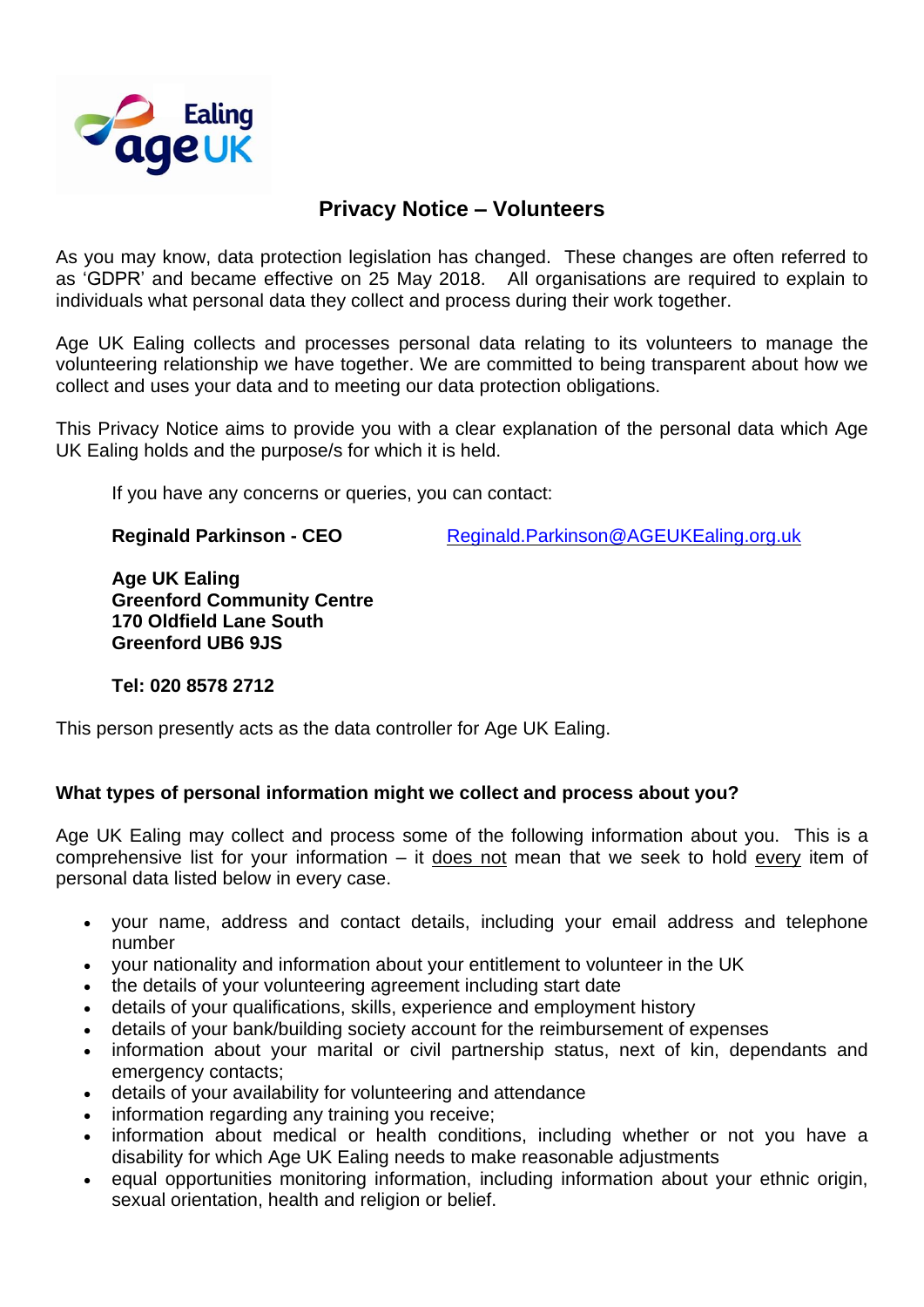

# **Privacy Notice – Volunteers**

As you may know, data protection legislation has changed. These changes are often referred to as 'GDPR' and became effective on 25 May 2018. All organisations are required to explain to individuals what personal data they collect and process during their work together.

Age UK Ealing collects and processes personal data relating to its volunteers to manage the volunteering relationship we have together. We are committed to being transparent about how we collect and uses your data and to meeting our data protection obligations.

This Privacy Notice aims to provide you with a clear explanation of the personal data which Age UK Ealing holds and the purpose/s for which it is held.

If you have any concerns or queries, you can contact:

**Reginald Parkinson - CEO** [Reginald.Parkinson@AGEUKEaling.org.uk](mailto:Reginald.Parkinson@AGEUKEaling.org.uk)

**Age UK Ealing Greenford Community Centre 170 Oldfield Lane South Greenford UB6 9JS** 

**Tel: 020 8578 2712** 

This person presently acts as the data controller for Age UK Ealing.

# **What types of personal information might we collect and process about you?**

Age UK Ealing may collect and process some of the following information about you. This is a comprehensive list for your information – it does not mean that we seek to hold every item of personal data listed below in every case.

- your name, address and contact details, including your email address and telephone number
- your nationality and information about your entitlement to volunteer in the UK
- the details of your volunteering agreement including start date
- details of your qualifications, skills, experience and employment history
- details of your bank/building society account for the reimbursement of expenses
- information about your marital or civil partnership status, next of kin, dependants and emergency contacts;
- details of your availability for volunteering and attendance
- information regarding any training you receive;
- information about medical or health conditions, including whether or not you have a disability for which Age UK Ealing needs to make reasonable adjustments
- equal opportunities monitoring information, including information about your ethnic origin, sexual orientation, health and religion or belief.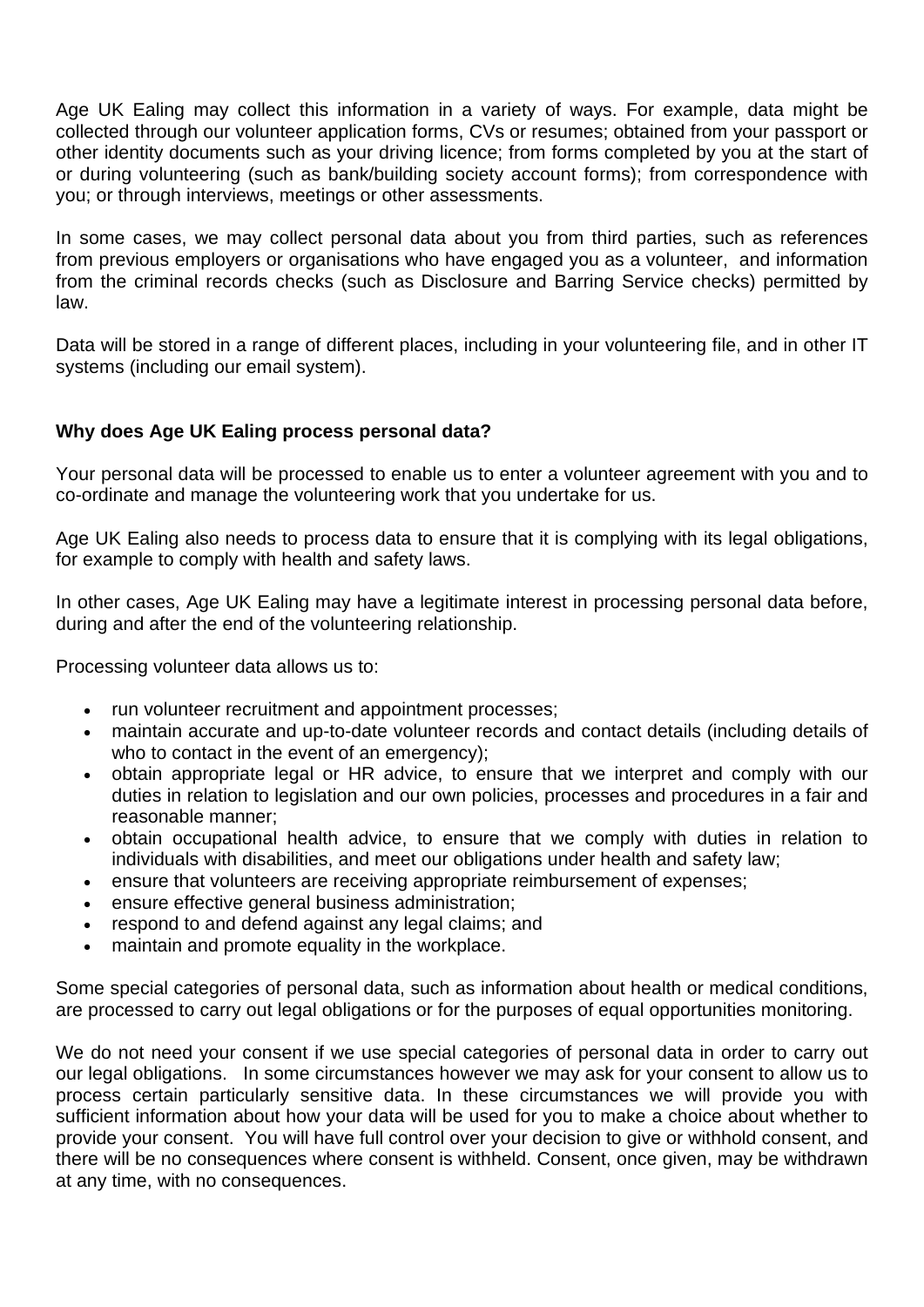Age UK Ealing may collect this information in a variety of ways. For example, data might be collected through our volunteer application forms, CVs or resumes; obtained from your passport or other identity documents such as your driving licence; from forms completed by you at the start of or during volunteering (such as bank/building society account forms); from correspondence with you; or through interviews, meetings or other assessments.

In some cases, we may collect personal data about you from third parties, such as references from previous employers or organisations who have engaged you as a volunteer, and information from the criminal records checks (such as Disclosure and Barring Service checks) permitted by law.

Data will be stored in a range of different places, including in your volunteering file, and in other IT systems (including our email system).

# **Why does Age UK Ealing process personal data?**

Your personal data will be processed to enable us to enter a volunteer agreement with you and to co-ordinate and manage the volunteering work that you undertake for us.

Age UK Ealing also needs to process data to ensure that it is complying with its legal obligations, for example to comply with health and safety laws.

In other cases, Age UK Ealing may have a legitimate interest in processing personal data before, during and after the end of the volunteering relationship.

Processing volunteer data allows us to:

- run volunteer recruitment and appointment processes;
- maintain accurate and up-to-date volunteer records and contact details (including details of who to contact in the event of an emergency);
- obtain appropriate legal or HR advice, to ensure that we interpret and comply with our duties in relation to legislation and our own policies, processes and procedures in a fair and reasonable manner;
- obtain occupational health advice, to ensure that we comply with duties in relation to individuals with disabilities, and meet our obligations under health and safety law;
- ensure that volunteers are receiving appropriate reimbursement of expenses;
- ensure effective general business administration;
- respond to and defend against any legal claims; and
- maintain and promote equality in the workplace.

Some special categories of personal data, such as information about health or medical conditions, are processed to carry out legal obligations or for the purposes of equal opportunities monitoring.

We do not need your consent if we use special categories of personal data in order to carry out our legal obligations. In some circumstances however we may ask for your consent to allow us to process certain particularly sensitive data. In these circumstances we will provide you with sufficient information about how your data will be used for you to make a choice about whether to provide your consent. You will have full control over your decision to give or withhold consent, and there will be no consequences where consent is withheld. Consent, once given, may be withdrawn at any time, with no consequences.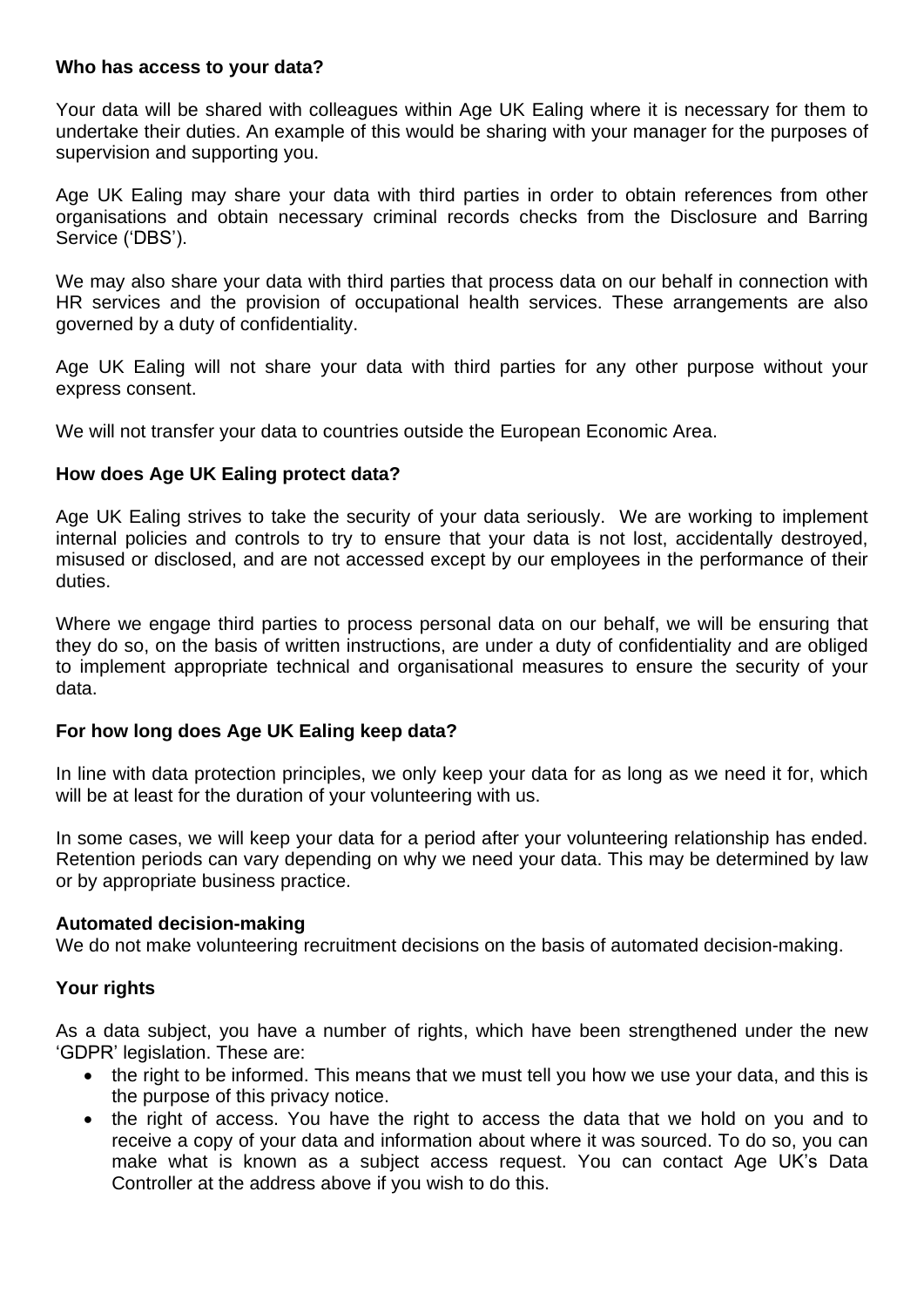#### **Who has access to your data?**

Your data will be shared with colleagues within Age UK Ealing where it is necessary for them to undertake their duties. An example of this would be sharing with your manager for the purposes of supervision and supporting you.

Age UK Ealing may share your data with third parties in order to obtain references from other organisations and obtain necessary criminal records checks from the Disclosure and Barring Service ('DBS').

We may also share your data with third parties that process data on our behalf in connection with HR services and the provision of occupational health services. These arrangements are also governed by a duty of confidentiality.

Age UK Ealing will not share your data with third parties for any other purpose without your express consent.

We will not transfer your data to countries outside the European Economic Area.

## **How does Age UK Ealing protect data?**

Age UK Ealing strives to take the security of your data seriously. We are working to implement internal policies and controls to try to ensure that your data is not lost, accidentally destroyed, misused or disclosed, and are not accessed except by our employees in the performance of their duties.

Where we engage third parties to process personal data on our behalf, we will be ensuring that they do so, on the basis of written instructions, are under a duty of confidentiality and are obliged to implement appropriate technical and organisational measures to ensure the security of your data.

## **For how long does Age UK Ealing keep data?**

In line with data protection principles, we only keep your data for as long as we need it for, which will be at least for the duration of your volunteering with us.

In some cases, we will keep your data for a period after your volunteering relationship has ended. Retention periods can vary depending on why we need your data. This may be determined by law or by appropriate business practice.

#### **Automated decision-making**

We do not make volunteering recruitment decisions on the basis of automated decision-making.

#### **Your rights**

As a data subject, you have a number of rights, which have been strengthened under the new 'GDPR' legislation. These are:

- the right to be informed. This means that we must tell you how we use your data, and this is the purpose of this privacy notice.
- the right of access. You have the right to access the data that we hold on you and to receive a copy of your data and information about where it was sourced. To do so, you can make what is known as a subject access request. You can contact Age UK's Data Controller at the address above if you wish to do this.